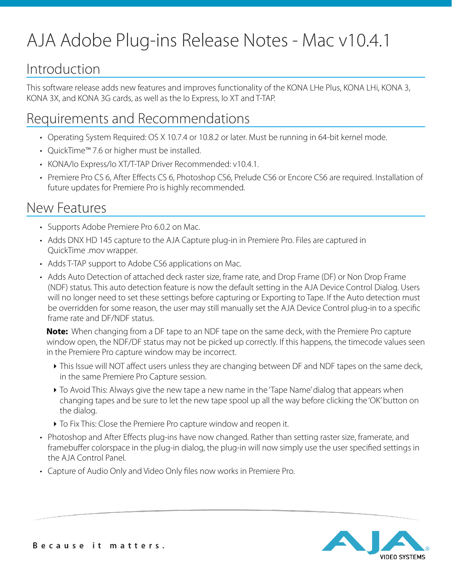# AJA Adobe Plug-ins Release Notes - Mac v10.4.1

## Introduction

This software release adds new features and improves functionality of the KONA LHe Plus, KONA LHi, KONA 3, KONA 3X, and KONA 3G cards, as well as the Io Express, Io XT and T-TAP.

### Requirements and Recommendations

- Operating System Required: OS X 10.7.4 or 10.8.2 or later. Must be running in 64-bit kernel mode.
- QuickTime™ 7.6 or higher must be installed.
- KONA/Io Express/Io XT/T-TAP Driver Recommended: v10.4.1.
- Premiere Pro CS 6, After Effects CS 6, Photoshop CS6, Prelude CS6 or Encore CS6 are required. Installation of future updates for Premiere Pro is highly recommended.

### New Features

- Supports Adobe Premiere Pro 6.0.2 on Mac.
- Adds DNX HD 145 capture to the AJA Capture plug-in in Premiere Pro. Files are captured in QuickTime .mov wrapper.
- Adds T-TAP support to Adobe CS6 applications on Mac.
- Adds Auto Detection of attached deck raster size, frame rate, and Drop Frame (DF) or Non Drop Frame (NDF) status. This auto detection feature is now the default setting in the AJA Device Control Dialog. Users will no longer need to set these settings before capturing or Exporting to Tape. If the Auto detection must be overridden for some reason, the user may still manually set the AJA Device Control plug-in to a specific frame rate and DF/NDF status.

**Note:** When changing from a DF tape to an NDF tape on the same deck, with the Premiere Pro capture window open, the NDF/DF status may not be picked up correctly. If this happens, the timecode values seen in the Premiere Pro capture window may be incorrect.

- ‣ This Issue will NOT affect users unless they are changing between DF and NDF tapes on the same deck, in the same Premiere Pro Capture session.
- ‣ To Avoid This: Always give the new tape a new name in the 'Tape Name' dialog that appears when changing tapes and be sure to let the new tape spool up all the way before clicking the 'OK' button on the dialog.
- ‣ To Fix This: Close the Premiere Pro capture window and reopen it.
- Photoshop and After Effects plug-ins have now changed. Rather than setting raster size, framerate, and framebuffer colorspace in the plug-in dialog, the plug-in will now simply use the user specified settings in the AJA Control Panel.
- Capture of Audio Only and Video Only files now works in Premiere Pro.

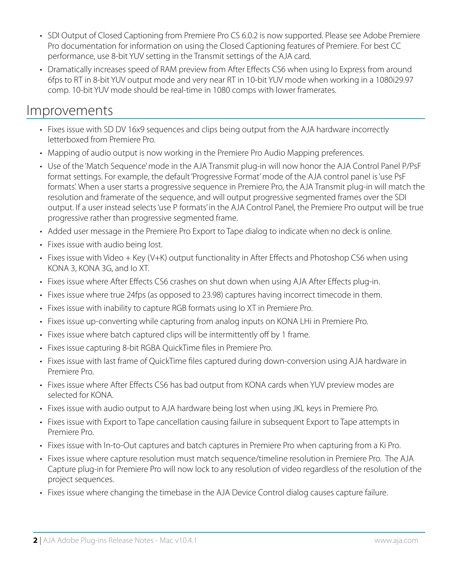- SDI Output of Closed Captioning from Premiere Pro CS 6.0.2 is now supported. Please see Adobe Premiere Pro documentation for information on using the Closed Captioning features of Premiere. For best CC performance, use 8-bit YUV setting in the Transmit settings of the AJA card.
- Dramatically increases speed of RAM preview from After Effects CS6 when using Io Express from around 6fps to RT in 8-bit YUV output mode and very near RT in 10-bit YUV mode when working in a 1080i29.97 comp. 10-bit YUV mode should be real-time in 1080 comps with lower framerates.

#### Improvements

- Fixes issue with SD DV 16x9 sequences and clips being output from the AJA hardware incorrectly letterboxed from Premiere Pro.
- Mapping of audio output is now working in the Premiere Pro Audio Mapping preferences.
- Use of the 'Match Sequence' mode in the AJA Transmit plug-in will now honor the AJA Control Panel P/PsF format settings. For example, the default 'Progressive Format' mode of the AJA control panel is 'use PsF formats'. When a user starts a progressive sequence in Premiere Pro, the AJA Transmit plug-in will match the resolution and framerate of the sequence, and will output progressive segmented frames over the SDI output. If a user instead selects 'use P formats' in the AJA Control Panel, the Premiere Pro output will be true progressive rather than progressive segmented frame.
- Added user message in the Premiere Pro Export to Tape dialog to indicate when no deck is online.
- Fixes issue with audio being lost.
- Fixes issue with Video + Key (V+K) output functionality in After Effects and Photoshop CS6 when using KONA 3, KONA 3G, and Io XT.
- Fixes issue where After Effects CS6 crashes on shut down when using AJA After Effects plug-in.
- Fixes issue where true 24fps (as opposed to 23.98) captures having incorrect timecode in them.
- Fixes issue with inability to capture RGB formats using Io XT in Premiere Pro.
- Fixes issue up-converting while capturing from analog inputs on KONA LHi in Premiere Pro.
- Fixes issue where batch captured clips will be intermittently off by 1 frame.
- Fixes issue capturing 8-bit RGBA QuickTime files in Premiere Pro.
- Fixes issue with last frame of QuickTime files captured during down-conversion using AJA hardware in Premiere Pro.
- Fixes issue where After Effects CS6 has bad output from KONA cards when YUV preview modes are selected for KONA.
- Fixes issue with audio output to AJA hardware being lost when using JKL keys in Premiere Pro.
- Fixes issue with Export to Tape cancellation causing failure in subsequent Export to Tape attempts in Premiere Pro.
- Fixes issue with In-to-Out captures and batch captures in Premiere Pro when capturing from a Ki Pro.
- Fixes issue where capture resolution must match sequence/timeline resolution in Premiere Pro. The AJA Capture plug-in for Premiere Pro will now lock to any resolution of video regardless of the resolution of the project sequences.
- Fixes issue where changing the timebase in the AJA Device Control dialog causes capture failure.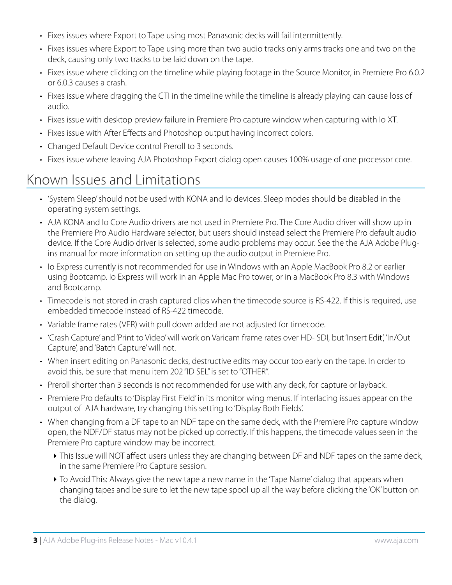- Fixes issues where Export to Tape using most Panasonic decks will fail intermittently.
- Fixes issues where Export to Tape using more than two audio tracks only arms tracks one and two on the deck, causing only two tracks to be laid down on the tape.
- Fixes issue where clicking on the timeline while playing footage in the Source Monitor, in Premiere Pro 6.0.2 or 6.0.3 causes a crash.
- Fixes issue where dragging the CTI in the timeline while the timeline is already playing can cause loss of audio.
- Fixes issue with desktop preview failure in Premiere Pro capture window when capturing with Io XT.
- Fixes issue with After Effects and Photoshop output having incorrect colors.
- Changed Default Device control Preroll to 3 seconds.
- Fixes issue where leaving AJA Photoshop Export dialog open causes 100% usage of one processor core.

#### Known Issues and Limitations

- 'System Sleep' should not be used with KONA and Io devices. Sleep modes should be disabled in the operating system settings.
- AJA KONA and Io Core Audio drivers are not used in Premiere Pro. The Core Audio driver will show up in the Premiere Pro Audio Hardware selector, but users should instead select the Premiere Pro default audio device. If the Core Audio driver is selected, some audio problems may occur. See the the AJA Adobe Plugins manual for more information on setting up the audio output in Premiere Pro.
- Io Express currently is not recommended for use in Windows with an Apple MacBook Pro 8.2 or earlier using Bootcamp. Io Express will work in an Apple Mac Pro tower, or in a MacBook Pro 8.3 with Windows and Bootcamp.
- Timecode is not stored in crash captured clips when the timecode source is RS-422. If this is required, use embedded timecode instead of RS-422 timecode.
- Variable frame rates (VFR) with pull down added are not adjusted for timecode.
- 'Crash Capture' and 'Print to Video' will work on Varicam frame rates over HD- SDI, but 'Insert Edit', 'In/Out Capture', and 'Batch Capture' will not.
- When insert editing on Panasonic decks, destructive edits may occur too early on the tape. In order to avoid this, be sure that menu item 202 "ID SEL" is set to "OTHER".
- Preroll shorter than 3 seconds is not recommended for use with any deck, for capture or layback.
- Premiere Pro defaults to 'Display First Field' in its monitor wing menus. If interlacing issues appear on the output of AJA hardware, try changing this setting to 'Display Both Fields'.
- When changing from a DF tape to an NDF tape on the same deck, with the Premiere Pro capture window open, the NDF/DF status may not be picked up correctly. If this happens, the timecode values seen in the Premiere Pro capture window may be incorrect.
	- ‣ This Issue will NOT affect users unless they are changing between DF and NDF tapes on the same deck, in the same Premiere Pro Capture session.
	- ‣ To Avoid This: Always give the new tape a new name in the 'Tape Name' dialog that appears when changing tapes and be sure to let the new tape spool up all the way before clicking the 'OK' button on the dialog.